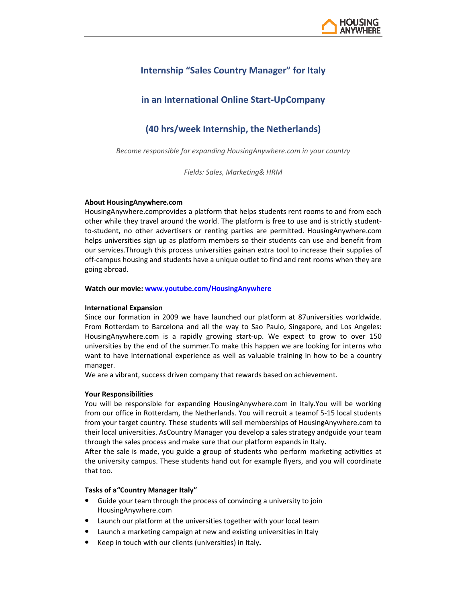

# **Internship "Sales Country Manager" for Italy**

## **in an International Online Start-UpCompany**

## **(40 hrs/week Internship, the Netherlands)**

*Become responsible for expanding HousingAnywhere.com in your country* 

*Fields: Sales, Marketing& HRM* 

#### **About HousingAnywhere.com**

HousingAnywhere.comprovides a platform that helps students rent rooms to and from each other while they travel around the world. The platform is free to use and is strictly studentto-student, no other advertisers or renting parties are permitted. HousingAnywhere.com helps universities sign up as platform members so their students can use and benefit from our services.Through this process universities gainan extra tool to increase their supplies of off-campus housing and students have a unique outlet to find and rent rooms when they are going abroad.

**Watch our movie: www.youtube.com/HousingAnywhere**

#### **International Expansion**

Since our formation in 2009 we have launched our platform at 87universities worldwide. From Rotterdam to Barcelona and all the way to Sao Paulo, Singapore, and Los Angeles: HousingAnywhere.com is a rapidly growing start-up. We expect to grow to over 150 universities by the end of the summer.To make this happen we are looking for interns who want to have international experience as well as valuable training in how to be a country manager.

We are a vibrant, success driven company that rewards based on achievement.

#### **Your Responsibilities**

You will be responsible for expanding HousingAnywhere.com in Italy.You will be working from our office in Rotterdam, the Netherlands. You will recruit a teamof 5-15 local students from your target country. These students will sell memberships of HousingAnywhere.com to their local universities. AsCountry Manager you develop a sales strategy andguide your team through the sales process and make sure that our platform expands in Italy**.** 

After the sale is made, you guide a group of students who perform marketing activities at the university campus. These students hand out for example flyers, and you will coordinate that too.

#### **Tasks of a"Country Manager Italy"**

- Guide your team through the process of convincing a university to join HousingAnywhere.com
- Launch our platform at the universities together with your local team
- Launch a marketing campaign at new and existing universities in Italy
- Keep in touch with our clients (universities) in Italy**.**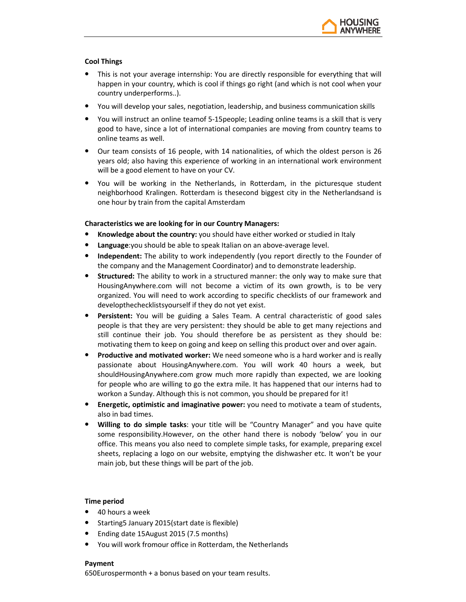

### **Cool Things**

- This is not your average internship: You are directly responsible for everything that will happen in your country, which is cool if things go right (and which is not cool when your country underperforms..).
- You will develop your sales, negotiation, leadership, and business communication skills
- You will instruct an online teamof 5-15people; Leading online teams is a skill that is very good to have, since a lot of international companies are moving from country teams to online teams as well.
- Our team consists of 16 people, with 14 nationalities, of which the oldest person is 26 years old; also having this experience of working in an international work environment will be a good element to have on your CV.
- You will be working in the Netherlands, in Rotterdam, in the picturesque student neighborhood Kralingen. Rotterdam is thesecond biggest city in the Netherlandsand is one hour by train from the capital Amsterdam

### **Characteristics we are looking for in our Country Managers:**

- **Knowledge about the country:** you should have either worked or studied in Italy
- **Language**:you should be able to speak Italian on an above-average level.
- **Independent:** The ability to work independently (you report directly to the Founder of the company and the Management Coordinator) and to demonstrate leadership.
- **Structured:** The ability to work in a structured manner: the only way to make sure that HousingAnywhere.com will not become a victim of its own growth, is to be very organized. You will need to work according to specific checklists of our framework and developthechecklistsyourself if they do not yet exist.
- **Persistent:** You will be guiding a Sales Team. A central characteristic of good sales people is that they are very persistent: they should be able to get many rejections and still continue their job. You should therefore be as persistent as they should be: motivating them to keep on going and keep on selling this product over and over again.
- **Productive and motivated worker:** We need someone who is a hard worker and is really passionate about HousingAnywhere.com. You will work 40 hours a week, but shouldHousingAnywhere.com grow much more rapidly than expected, we are looking for people who are willing to go the extra mile. It has happened that our interns had to workon a Sunday. Although this is not common, you should be prepared for it!
- **Energetic, optimistic and imaginative power:** you need to motivate a team of students, also in bad times.
- **Willing to do simple tasks**: your title will be "Country Manager" and you have quite some responsibility.However, on the other hand there is nobody 'below' you in our office. This means you also need to complete simple tasks, for example, preparing excel sheets, replacing a logo on our website, emptying the dishwasher etc. It won't be your main job, but these things will be part of the job.

### **Time period**

- 40 hours a week
- Starting5 January 2015(start date is flexible)
- Ending date 15August 2015 (7.5 months)
- You will work fromour office in Rotterdam, the Netherlands

### **Payment**

650Eurospermonth + a bonus based on your team results.